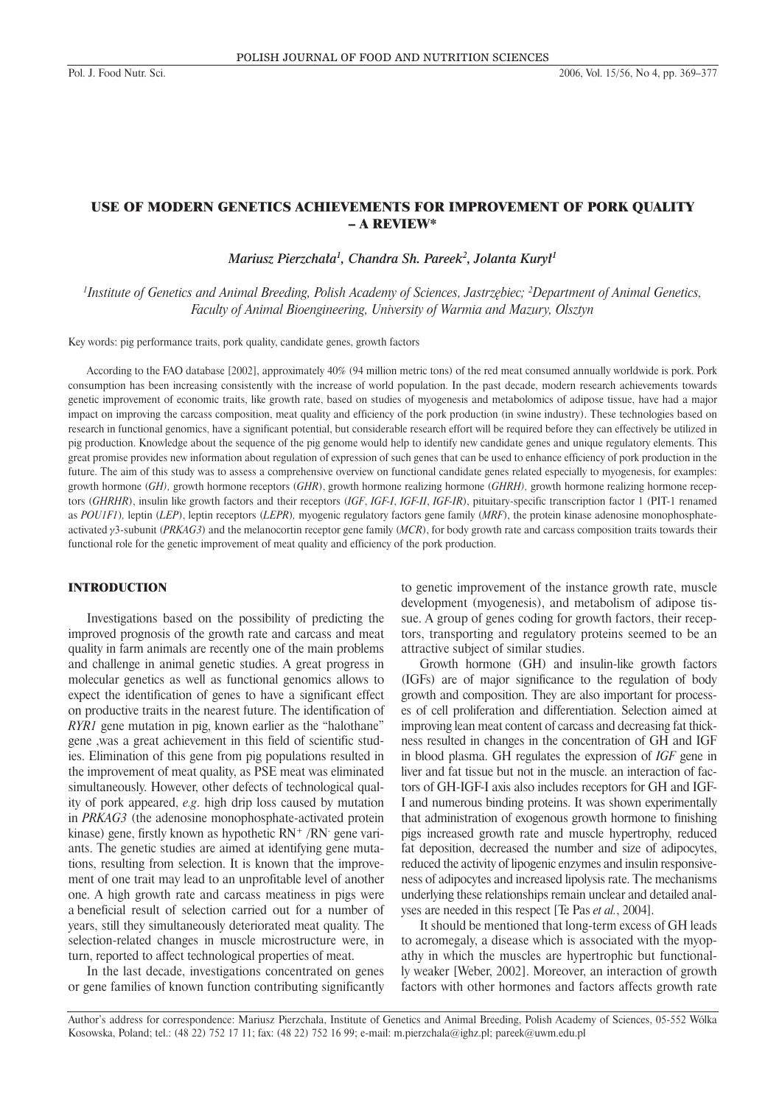# USE OF MODERN GENETICS ACHIEVEMENTS FOR IMPROVEMENT OF PORK QUALITY – A REVIEW\*

*Mariusz Pierzchała1 , Chandra Sh. Pareek2 , Jolanta Kurył1*

*1 Institute of Genetics and Animal Breeding, Polish Academy of Sciences, Jastrzębiec; 2 Department of Animal Genetics, Faculty of Animal Bioengineering, University of Warmia and Mazury, Olsztyn*

Key words: pig performance traits, pork quality, candidate genes, growth factors

According to the FAO database [2002], approximately 40% (94 million metric tons) of the red meat consumed annually worldwide is pork. Pork consumption has been increasing consistently with the increase of world population. In the past decade, modern research achievements towards genetic improvement of economic traits, like growth rate, based on studies of myogenesis and metabolomics of adipose tissue, have had a major impact on improving the carcass composition, meat quality and efficiency of the pork production (in swine industry). These technologies based on research in functional genomics, have a significant potential, but considerable research effort will be required before they can effectively be utilized in pig production. Knowledge about the sequence of the pig genome would help to identify new candidate genes and unique regulatory elements. This great promise provides new information about regulation of expression of such genes that can be used to enhance efficiency of pork production in the future. The aim of this study was to assess a comprehensive overview on functional candidate genes related especially to myogenesis, for examples: growth hormone (*GH),* growth hormone receptors (*GHR*), growth hormone realizing hormone (*GHRH),* growth hormone realizing hormone receptors (*GHRHR*), insulin like growth factors and their receptors (*IGF*, *IGF-I*, *IGF-II*, *IGF-IR*), pituitary-specific transcription factor 1 (PIT-1 renamed as *POU1F1*)*,* leptin (*LEP*), leptin receptors (*LEPR*)*,* myogenic regulatory factors gene family (*MRF*), the protein kinase adenosine monophosphateactivated  $\gamma$ 3-subunit (*PRKAG3*) and the melanocortin receptor gene family (*MCR*), for body growth rate and carcass composition traits towards their functional role for the genetic improvement of meat quality and efficiency of the pork production.

## INTRODUCTION

Investigations based on the possibility of predicting the improved prognosis of the growth rate and carcass and meat quality in farm animals are recently one of the main problems and challenge in animal genetic studies. A great progress in molecular genetics as well as functional genomics allows to expect the identification of genes to have a significant effect on productive traits in the nearest future. The identification of *RYR1* gene mutation in pig, known earlier as the "halothane" gene ,was a great achievement in this field of scientific studies. Elimination of this gene from pig populations resulted in the improvement of meat quality, as PSE meat was eliminated simultaneously. However, other defects of technological quality of pork appeared, *e.g*. high drip loss caused by mutation in *PRKAG3* (the adenosine monophosphate-activated protein kinase) gene, firstly known as hypothetic RN+ /RN- gene variants. The genetic studies are aimed at identifying gene mutations, resulting from selection. It is known that the improvement of one trait may lead to an unprofitable level of another one. A high growth rate and carcass meatiness in pigs were a beneficial result of selection carried out for a number of years, still they simultaneously deteriorated meat quality. The selection-related changes in muscle microstructure were, in turn, reported to affect technological properties of meat.

In the last decade, investigations concentrated on genes or gene families of known function contributing significantly

to genetic improvement of the instance growth rate, muscle development (myogenesis), and metabolism of adipose tissue. A group of genes coding for growth factors, their receptors, transporting and regulatory proteins seemed to be an attractive subject of similar studies.

Growth hormone (GH) and insulin-like growth factors (IGFs) are of major significance to the regulation of body growth and composition. They are also important for processes of cell proliferation and differentiation. Selection aimed at improving lean meat content of carcass and decreasing fat thickness resulted in changes in the concentration of GH and IGF in blood plasma. GH regulates the expression of *IGF* gene in liver and fat tissue but not in the muscle. an interaction of factors of GH-IGF-I axis also includes receptors for GH and IGF-I and numerous binding proteins. It was shown experimentally that administration of exogenous growth hormone to finishing pigs increased growth rate and muscle hypertrophy, reduced fat deposition, decreased the number and size of adipocytes, reduced the activity of lipogenic enzymes and insulin responsiveness of adipocytes and increased lipolysis rate. The mechanisms underlying these relationships remain unclear and detailed analyses are needed in this respect [Te Pas *et al.*, 2004].

It should be mentioned that long-term excess of GH leads to acromegaly, a disease which is associated with the myopathy in which the muscles are hypertrophic but functionally weaker [Weber, 2002]. Moreover, an interaction of growth factors with other hormones and factors affects growth rate

Author's address for correspondence: Mariusz Pierzchała, Institute of Genetics and Animal Breeding, Polish Academy of Sciences, 05-552 Wólka Kosowska, Poland; tel.: (48 22) 752 17 11; fax: (48 22) 752 16 99; e-mail: m.pierzchala@ighz.pl; pareek@uwm.edu.pl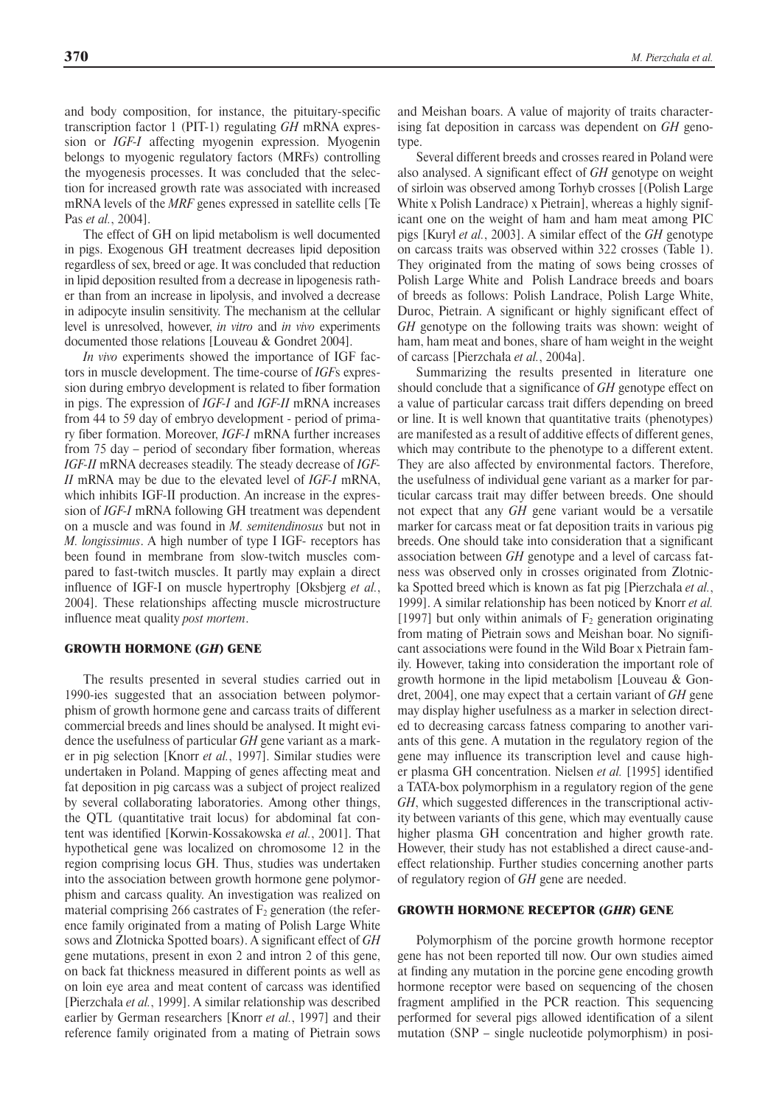and body composition, for instance, the pituitary-specific transcription factor 1 (PIT-1) regulating *GH* mRNA expression or *IGF-I* affecting myogenin expression. Myogenin belongs to myogenic regulatory factors (MRFs) controlling the myogenesis processes. It was concluded that the selection for increased growth rate was associated with increased mRNA levels of the *MRF* genes expressed in satellite cells [Te Pas *et al.*, 2004].

The effect of GH on lipid metabolism is well documented in pigs. Exogenous GH treatment decreases lipid deposition regardless of sex, breed or age. It was concluded that reduction in lipid deposition resulted from a decrease in lipogenesis rather than from an increase in lipolysis, and involved a decrease in adipocyte insulin sensitivity. The mechanism at the cellular level is unresolved, however, *in vitro* and *in vivo* experiments documented those relations [Louveau & Gondret 2004].

*In vivo* experiments showed the importance of IGF factors in muscle development. The time-course of *IGF*s expression during embryo development is related to fiber formation in pigs. The expression of *IGF-I* and *IGF-II* mRNA increases from 44 to 59 day of embryo development - period of primary fiber formation. Moreover, *IGF-I* mRNA further increases from 75 day – period of secondary fiber formation, whereas *IGF-II* mRNA decreases steadily. The steady decrease of *IGF-II* mRNA may be due to the elevated level of *IGF-I* mRNA, which inhibits IGF-II production. An increase in the expression of *IGF-I* mRNA following GH treatment was dependent on a muscle and was found in *M. semitendinosus* but not in *M. longissimus*. A high number of type I IGF- receptors has been found in membrane from slow-twitch muscles compared to fast-twitch muscles. It partly may explain a direct influence of IGF-I on muscle hypertrophy [Oksbjerg *et al.*, 2004]. These relationships affecting muscle microstructure influence meat quality *post mortem*.

#### GROWTH HORMONE (*GH*) GENE

The results presented in several studies carried out in 1990-ies suggested that an association between polymorphism of growth hormone gene and carcass traits of different commercial breeds and lines should be analysed. It might evidence the usefulness of particular *GH* gene variant as a marker in pig selection [Knorr *et al.*, 1997]. Similar studies were undertaken in Poland. Mapping of genes affecting meat and fat deposition in pig carcass was a subject of project realized by several collaborating laboratories. Among other things, the QTL (quantitative trait locus) for abdominal fat content was identified [Korwin-Kossakowska *et al.*, 2001]. That hypothetical gene was localized on chromosome 12 in the region comprising locus GH. Thus, studies was undertaken into the association between growth hormone gene polymorphism and carcass quality. An investigation was realized on material comprising 266 castrates of  $F_2$  generation (the reference family originated from a mating of Polish Large White sows and Zlotnicka Spotted boars). A significant effect of *GH* gene mutations, present in exon 2 and intron 2 of this gene, on back fat thickness measured in different points as well as on loin eye area and meat content of carcass was identified [Pierzchała *et al.*, 1999]. A similar relationship was described earlier by German researchers [Knorr *et al.*, 1997] and their reference family originated from a mating of Pietrain sows

and Meishan boars. A value of majority of traits characterising fat deposition in carcass was dependent on *GH* genotype.

Several different breeds and crosses reared in Poland were also analysed. A significant effect of *GH* genotype on weight of sirloin was observed among Torhyb crosses [(Polish Large White x Polish Landrace) x Pietrain], whereas a highly significant one on the weight of ham and ham meat among PIC pigs [Kurył *et al.*, 2003]. A similar effect of the *GH* genotype on carcass traits was observed within 322 crosses (Table 1). They originated from the mating of sows being crosses of Polish Large White and Polish Landrace breeds and boars of breeds as follows: Polish Landrace, Polish Large White, Duroc, Pietrain. A significant or highly significant effect of *GH* genotype on the following traits was shown: weight of ham, ham meat and bones, share of ham weight in the weight of carcass [Pierzchała *et al.*, 2004a].

Summarizing the results presented in literature one should conclude that a significance of *GH* genotype effect on a value of particular carcass trait differs depending on breed or line. It is well known that quantitative traits (phenotypes) are manifested as a result of additive effects of different genes, which may contribute to the phenotype to a different extent. They are also affected by environmental factors. Therefore, the usefulness of individual gene variant as a marker for particular carcass trait may differ between breeds. One should not expect that any *GH* gene variant would be a versatile marker for carcass meat or fat deposition traits in various pig breeds. One should take into consideration that a significant association between *GH* genotype and a level of carcass fatness was observed only in crosses originated from Zlotnicka Spotted breed which is known as fat pig [Pierzchała *et al.*, 1999]. A similar relationship has been noticed by Knorr *et al.* [1997] but only within animals of  $F_2$  generation originating from mating of Pietrain sows and Meishan boar. No significant associations were found in the Wild Boar x Pietrain family. However, taking into consideration the important role of growth hormone in the lipid metabolism [Louveau & Gondret, 2004], one may expect that a certain variant of *GH* gene may display higher usefulness as a marker in selection directed to decreasing carcass fatness comparing to another variants of this gene. A mutation in the regulatory region of the gene may influence its transcription level and cause higher plasma GH concentration. Nielsen *et al.* [1995] identified a TATA-box polymorphism in a regulatory region of the gene *GH*, which suggested differences in the transcriptional activity between variants of this gene, which may eventually cause higher plasma GH concentration and higher growth rate. However, their study has not established a direct cause-andeffect relationship. Further studies concerning another parts of regulatory region of *GH* gene are needed.

# GROWTH HORMONE RECEPTOR (*GHR*) GENE

Polymorphism of the porcine growth hormone receptor gene has not been reported till now. Our own studies aimed at finding any mutation in the porcine gene encoding growth hormone receptor were based on sequencing of the chosen fragment amplified in the PCR reaction. This sequencing performed for several pigs allowed identification of a silent mutation (SNP – single nucleotide polymorphism) in posi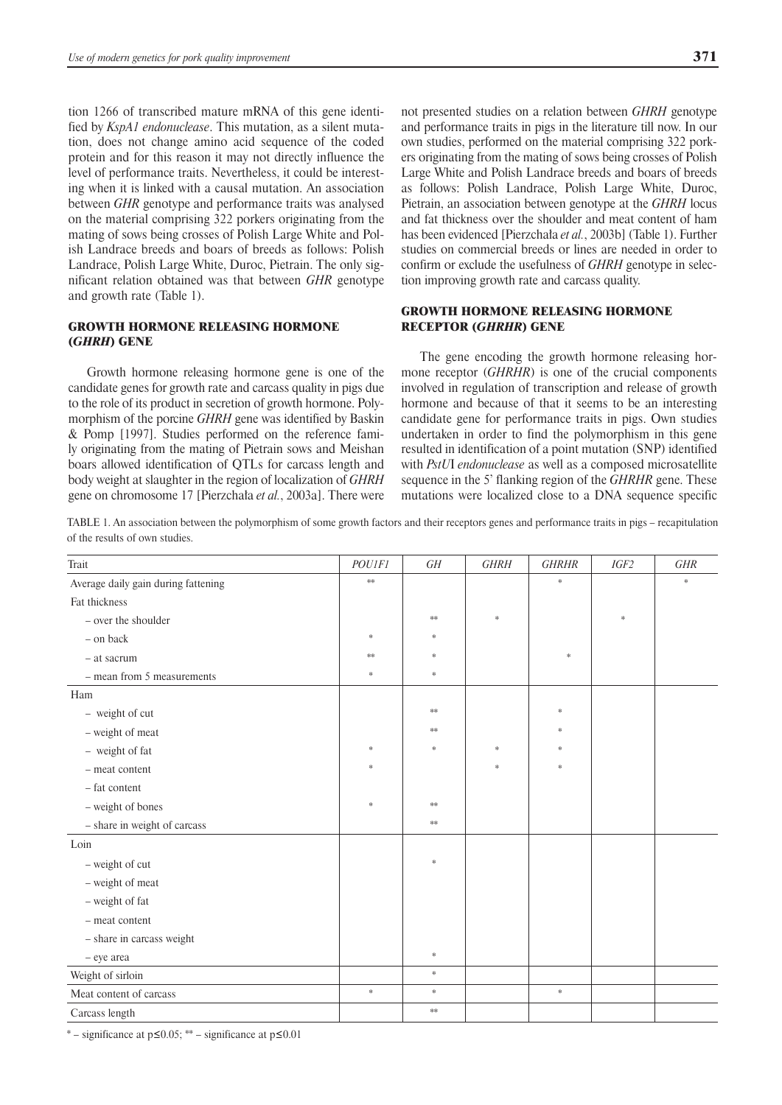tion 1266 of transcribed mature mRNA of this gene identified by *KspA1 endonuclease*. This mutation, as a silent mutation, does not change amino acid sequence of the coded protein and for this reason it may not directly influence the level of performance traits. Nevertheless, it could be interesting when it is linked with a causal mutation. An association between *GHR* genotype and performance traits was analysed on the material comprising 322 porkers originating from the mating of sows being crosses of Polish Large White and Polish Landrace breeds and boars of breeds as follows: Polish Landrace, Polish Large White, Duroc, Pietrain. The only significant relation obtained was that between *GHR* genotype and growth rate (Table 1).

# GROWTH HORMONE RELEASING HORMONE (*GHRH*) GENE

Growth hormone releasing hormone gene is one of the candidate genes for growth rate and carcass quality in pigs due to the role of its product in secretion of growth hormone. Polymorphism of the porcine *GHRH* gene was identified by Baskin & Pomp [1997]. Studies performed on the reference family originating from the mating of Pietrain sows and Meishan boars allowed identification of QTLs for carcass length and body weight at slaughter in the region of localization of *GHRH* gene on chromosome 17 [Pierzchała *et al.*, 2003a]. There were not presented studies on a relation between *GHRH* genotype and performance traits in pigs in the literature till now. In our own studies, performed on the material comprising 322 porkers originating from the mating of sows being crosses of Polish Large White and Polish Landrace breeds and boars of breeds as follows: Polish Landrace, Polish Large White, Duroc, Pietrain, an association between genotype at the *GHRH* locus and fat thickness over the shoulder and meat content of ham has been evidenced [Pierzchała *et al.*, 2003b] (Table 1). Further studies on commercial breeds or lines are needed in order to confirm or exclude the usefulness of *GHRH* genotype in selection improving growth rate and carcass quality.

## GROWTH HORMONE RELEASING HORMONE RECEPTOR (*GHRHR*) GENE

The gene encoding the growth hormone releasing hormone receptor (*GHRHR*) is one of the crucial components involved in regulation of transcription and release of growth hormone and because of that it seems to be an interesting candidate gene for performance traits in pigs. Own studies undertaken in order to find the polymorphism in this gene resulted in identification of a point mutation (SNP) identified with *PstU*I *endonuclease* as well as a composed microsatellite sequence in the 5' flanking region of the *GHRHR* gene. These mutations were localized close to a DNA sequence specific

TABLE 1. An association between the polymorphism of some growth factors and their receptors genes and performance traits in pigs – recapitulation of the results of own studies.

| Trait                               | <b>POUIFI</b> | GH            | <b>GHRH</b> | <b>GHRHR</b> | IGF2   | <b>GHR</b> |
|-------------------------------------|---------------|---------------|-------------|--------------|--------|------------|
| Average daily gain during fattening | $**$          |               |             | $\ast$       |        | $\ast$     |
| Fat thickness                       |               |               |             |              |        |            |
| - over the shoulder                 |               | $\ast\ast$    | $\ast$      |              | $\ast$ |            |
| - on back                           | $\ast$        | $\ast$        |             |              |        |            |
| - at sacrum                         | $\ast\ast$    | $\ast$        |             | *            |        |            |
| - mean from 5 measurements          | *             | *             |             |              |        |            |
| Ham                                 |               |               |             |              |        |            |
| - weight of cut                     |               | $\ast\ast$    |             | $\ast$       |        |            |
| - weight of meat                    |               | $**$          |             | $\ast$       |        |            |
| - weight of fat                     | $\ast$        | $\frac{1}{2}$ | $\ast$      | $\ast$       |        |            |
| - meat content                      | *             |               | $\ast$      | $\ast$       |        |            |
| - fat content                       |               |               |             |              |        |            |
| - weight of bones                   | *             | $**$          |             |              |        |            |
| - share in weight of carcass        |               | $**$          |             |              |        |            |
| Loin                                |               |               |             |              |        |            |
| - weight of cut                     |               | $\ast$        |             |              |        |            |
| - weight of meat                    |               |               |             |              |        |            |
| - weight of fat                     |               |               |             |              |        |            |
| - meat content                      |               |               |             |              |        |            |
| - share in carcass weight           |               |               |             |              |        |            |
| - eye area                          |               | $\ast$        |             |              |        |            |
| Weight of sirloin                   |               | $\ast$        |             |              |        |            |
| Meat content of carcass             | $\ast$        | $\ast$        |             | $\ast$       |        |            |
| Carcass length                      |               | $\ast\ast$    |             |              |        |            |

\* – significance at  $p\leq 0.05$ ; \*\* – significance at  $p\leq 0.01$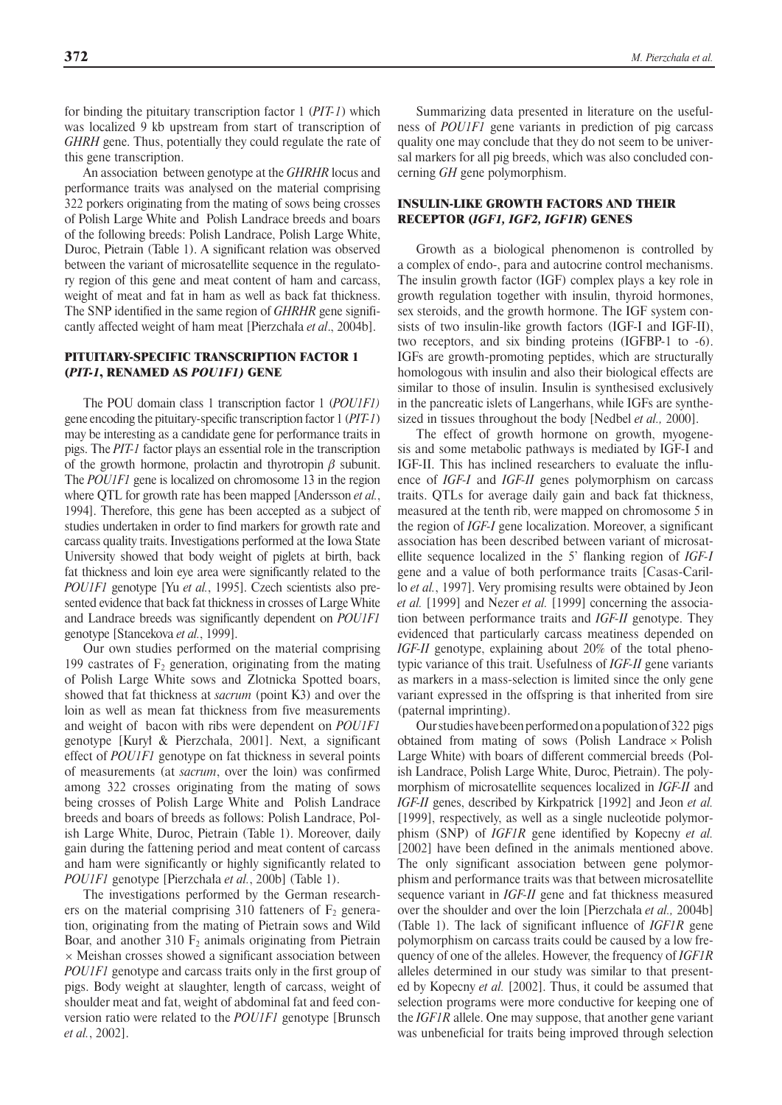for binding the pituitary transcription factor 1 (*PIT- 1*) which was localized 9 kb upstream from start of transcription of *GHRH* gene. Thus, potentially they could regulate the rate of this gene transcription.

An association between genotype at the *GHRHR* locus and performance traits was analysed on the material comprising 322 porkers originating from the mating of sows being crosses of Polish Large White and Polish Landrace breeds and boars of the following breeds: Polish Landrace, Polish Large White, Duroc, Pietrain (Table 1). A significant relation was observed between the variant of microsatellite sequence in the regulatory region of this gene and meat content of ham and carcass, weight of meat and fat in ham as well as back fat thickness. The SNP identified in the same region of *GHRHR* gene significantly affected weight of ham meat [Pierzchała *et al*., 2004b].

### PITUITARY-SPECIFIC TRANSCRIPTION FACTOR 1 (*PIT-1*, RENAMED AS *POU1F1)* GENE

The POU domain class 1 transcription factor 1 (*POU1F1)* gene encoding the pituitary-specific transcription factor 1 (*PIT- 1*) may be interesting as a candidate gene for performance traits in pigs. The *PIT-1* factor plays an essential role in the transcription of the growth hormone, prolactin and thyrotropin  $\beta$  subunit. The *POU1F1* gene is localized on chromosome 13 in the region where QTL for growth rate has been mapped [Andersson *et al.*, 1994]. Therefore, this gene has been accepted as a subject of studies undertaken in order to find markers for growth rate and carcass quality traits. Investigations performed at the Iowa State University showed that body weight of piglets at birth, back fat thickness and loin eye area were significantly related to the *POU1F1* genotype [Yu *et al.*, 1995]. Czech scientists also presented evidence that back fat thickness in crosses of Large White and Landrace breeds was significantly dependent on *POU1F1* genotype [Stancekova *et al.*, 1999].

Our own studies performed on the material comprising 199 castrates of  $F_2$  generation, originating from the mating of Polish Large White sows and Zlotnicka Spotted boars, showed that fat thickness at *sacrum* (point K3) and over the loin as well as mean fat thickness from five measurements and weight of bacon with ribs were dependent on *POU1F1* genotype [Kurył & Pierzchała, 2001]. Next, a significant effect of *POU1F1* genotype on fat thickness in several points of measurements (at *sacrum*, over the loin) was confirmed among 322 crosses originating from the mating of sows being crosses of Polish Large White and Polish Landrace breeds and boars of breeds as follows: Polish Landrace, Polish Large White, Duroc, Pietrain (Table 1). Moreover, daily gain during the fattening period and meat content of carcass and ham were significantly or highly significantly related to *POU1F1* genotype [Pierzchała *et al.*, 200b] (Table 1).

The investigations performed by the German researchers on the material comprising 310 fatteners of  $F_2$  generation, originating from the mating of Pietrain sows and Wild Boar, and another  $310 \text{ F}_2$  animals originating from Pietrain  $\times$  Meishan crosses showed a significant association between *POU1F1* genotype and carcass traits only in the first group of pigs. Body weight at slaughter, length of carcass, weight of shoulder meat and fat, weight of abdominal fat and feed conversion ratio were related to the *POU1F1* genotype [Brunsch *et al.*, 2002].

Summarizing data presented in literature on the usefulness of *POU1F1* gene variants in prediction of pig carcass quality one may conclude that they do not seem to be universal markers for all pig breeds, which was also concluded concerning *GH* gene polymorphism.

### INSULIN-LIKE GROWTH FACTORS AND THEIR RECEPTOR (*IGF1, IGF2, IGF1R*) GENES

Growth as a biological phenomenon is controlled by a complex of endo-, para and autocrine control mechanisms. The insulin growth factor (IGF) complex plays a key role in growth regulation together with insulin, thyroid hormones, sex steroids, and the growth hormone. The IGF system consists of two insulin-like growth factors (IGF-I and IGF-II), two receptors, and six binding proteins (IGFBP-1 to -6). IGFs are growth-promoting peptides, which are structurally homologous with insulin and also their biological effects are similar to those of insulin. Insulin is synthesised exclusively in the pancreatic islets of Langerhans, while IGFs are synthesized in tissues throughout the body [Nedbel *et al.,* 2000].

The effect of growth hormone on growth, myogenesis and some metabolic pathways is mediated by IGF-I and IGF-II. This has inclined researchers to evaluate the influence of *IGF-I* and *IGF-II* genes polymorphism on carcass traits. QTLs for average daily gain and back fat thickness, measured at the tenth rib, were mapped on chromosome 5 in the region of *IGF-I* gene localization. Moreover, a significant association has been described between variant of microsatellite sequence localized in the 5' flanking region of *IGF-I* gene and a value of both performance traits [Casas-Carillo *et al.*, 1997]. Very promising results were obtained by Jeon *et al.* [1999] and Nezer *et al.* [1999] concerning the association between performance traits and *IGF-II* genotype. They evidenced that particularly carcass meatiness depended on *IGF-II* genotype, explaining about 20% of the total phenotypic variance of this trait. Usefulness of *IGF-II* gene variants as markers in a mass-selection is limited since the only gene variant expressed in the offspring is that inherited from sire (paternal imprinting).

Our studies have been performed on a population of 322 pigs obtained from mating of sows (Polish Landrace  $\times$  Polish Large White) with boars of different commercial breeds (Polish Landrace, Polish Large White, Duroc, Pietrain). The polymorphism of microsatellite sequences localized in *IGF-II* and *IGF-II* genes, described by Kirkpatrick [1992] and Jeon *et al.* [1999], respectively, as well as a single nucleotide polymorphism (SNP) of *IGF1R* gene identified by Kopecny *et al.* [2002] have been defined in the animals mentioned above. The only significant association between gene polymorphism and performance traits was that between microsatellite sequence variant in *IGF-II* gene and fat thickness measured over the shoulder and over the loin [Pierzchała *et al.,* 2004b] (Table 1). The lack of significant influence of *IGF1R* gene polymorphism on carcass traits could be caused by a low frequency of one of the alleles. However, the frequency of *IGF1R* alleles determined in our study was similar to that presented by Kopecny *et al.* [2002]. Thus, it could be assumed that selection programs were more conductive for keeping one of the *IGF1R* allele. One may suppose, that another gene variant was unbeneficial for traits being improved through selection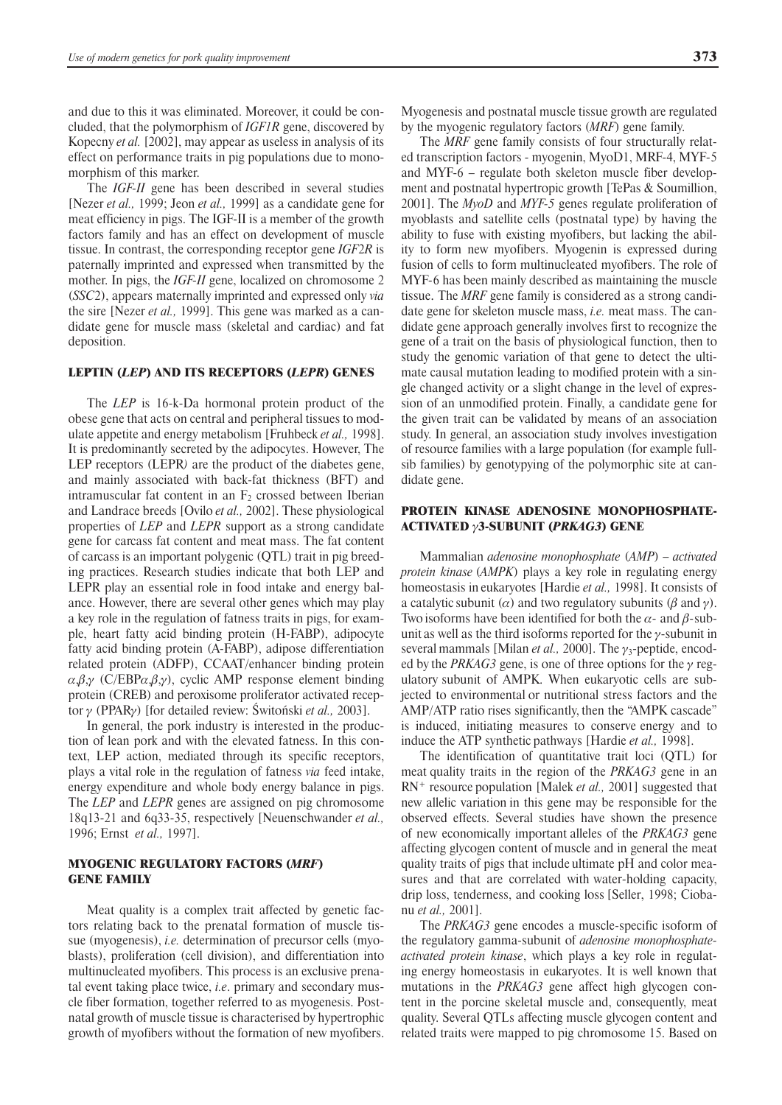and due to this it was eliminated. Moreover, it could be concluded, that the polymorphism of *IGF1R* gene, discovered by Kopecny *et al.* [2002], may appear as useless in analysis of its effect on performance traits in pig populations due to monomorphism of this marker.

The *IGF-II* gene has been described in several studies [Nezer *et al.,* 1999; Jeon *et al.,* 1999] as a candidate gene for meat efficiency in pigs. The IGF-II is a member of the growth factors family and has an effect on development of muscle tissue. In contrast, the corresponding receptor gene *IGF*2*R* is paternally imprinted and expressed when transmitted by the mother. In pigs, the *IGF-II* gene, localized on chromosome 2 (*SSC*2), appears maternally imprinted and expressed only *via* the sire [Nezer *et al.,* 1999]. This gene was marked as a candidate gene for muscle mass (skeletal and cardiac) and fat deposition.

#### LEPTIN (*LEP*) AND ITS RECEPTORS (*LEPR*) GENES

The *LEP* is 16-k-Da hormonal protein product of the obese gene that acts on central and peripheral tissues to modulate appetite and energy metabolism [Fruhbeck *et al.,* 1998]. It is predominantly secreted by the adipocytes. However, The LEP receptors (LEPR*)* are the product of the diabetes gene, and mainly associated with back-fat thickness (BFT) and intramuscular fat content in an  $F_2$  crossed between Iberian and Landrace breeds [Ovilo *et al.,* 2002]. These physiological properties of *LEP* and *LEPR* support as a strong candidate gene for carcass fat content and meat mass. The fat content of carcass is an important polygenic (QTL) trait in pig breeding practices. Research studies indicate that both LEP and LEPR play an essential role in food intake and energy balance. However, there are several other genes which may play a key role in the regulation of fatness traits in pigs, for example, heart fatty acid binding protein (H-FABP), adipocyte fatty acid binding protein (A-FABP), adipose differentiation related protein (ADFP), CCAAT/enhancer binding protein  $\alpha, \beta, \gamma$  (C/EBP $\alpha, \beta, \gamma$ ), cyclic AMP response element binding protein (CREB) and peroxisome proliferator activated receptor g (PPARg) [for detailed review: Świtoński *et al.,* 2003].

In general, the pork industry is interested in the production of lean pork and with the elevated fatness. In this context, LEP action, mediated through its specific receptors, plays a vital role in the regulation of fatness *via* feed intake, energy expenditure and whole body energy balance in pigs. The *LEP* and *LEPR* genes are assigned on pig chromosome 18q13-21 and 6q33-35, respectively [Neuenschwander *et al.,* 1996; Ernst *et al.,* 1997].

#### MYOGENIC REGULATORY FACTORS (*MRF*) GENE FAMILY

Meat quality is a complex trait affected by genetic factors relating back to the prenatal formation of muscle tissue (myogenesis), *i.e.* determination of precursor cells (myoblasts), proliferation (cell division), and differentiation into multinucleated myofibers. This process is an exclusive prenatal event taking place twice, *i.e*. primary and secondary muscle fiber formation, together referred to as myogenesis. Postnatal growth of muscle tissue is characterised by hypertrophic growth of myofibers without the formation of new myofibers.

Myogenesis and postnatal muscle tissue growth are regulated by the myogenic regulatory factors (*MRF*) gene family.

The *MRF* gene family consists of four structurally related transcription factors - myogenin, MyoD1, MRF-4, MYF- 5 and MYF-6 – regulate both skeleton muscle fiber development and postnatal hypertropic growth [TePas & Soumillion, 2001]. The *MyoD* and *MYF-5* genes regulate proliferation of myoblasts and satellite cells (postnatal type) by having the ability to fuse with existing myofibers, but lacking the ability to form new myofibers. Myogenin is expressed during fusion of cells to form multinucleated myofibers. The role of MYF-6 has been mainly described as maintaining the muscle tissue. The *MRF* gene family is considered as a strong candidate gene for skeleton muscle mass, *i.e.* meat mass. The candidate gene approach generally involves first to recognize the gene of a trait on the basis of physiological function, then to study the genomic variation of that gene to detect the ultimate causal mutation leading to modified protein with a single changed activity or a slight change in the level of expression of an unmodified protein. Finally, a candidate gene for the given trait can be validated by means of an association study. In general, an association study involves investigation of resource families with a large population (for example fullsib families) by genotypying of the polymorphic site at candidate gene.

## PROTEIN KINASE ADENOSINE MONOPHOSPHATE-ACTIVATED g3-SUBUNIT (*PRKAG3*) GENE

Mammalian *adenosine monophosphate* (*AMP*) – *activated protein kinase* (*AMPK*) plays a key role in regulating energy homeostasis in eukaryotes [Hardie *et al.,* 1998]. It consists of a catalytic subunit ( $\alpha$ ) and two regulatory subunits ( $\beta$  and  $\gamma$ ). Two isoforms have been identified for both the  $\alpha$ - and  $\beta$ -subunit as well as the third isoforms reported for the  $\gamma$ -subunit in several mammals [Milan *et al.*, 2000]. The  $\gamma_3$ -peptide, encoded by the *PRKAG3* gene, is one of three options for the  $\gamma$  regulatory subunit of AMPK. When eukaryotic cells are subjected to environmental or nutritional stress factors and the AMP/ATP ratio rises significantly, then the "AMPK cascade" is induced, initiating measures to conserve energy and to induce the ATP synthetic pathways [Hardie *et al.,* 1998].

The identification of quantitative trait loci (QTL) for meat quality traits in the region of the *PRKAG3* gene in an RN+ resource population [Malek *et al.,* 2001] suggested that new allelic variation in this gene may be responsible for the observed effects. Several studies have shown the presence of new economically important alleles of the *PRKAG3* gene affecting glycogen content of muscle and in general the meat quality traits of pigs that include ultimate pH and color measures and that are correlated with water-holding capacity, drip loss, tenderness, and cooking loss [Seller, 1998; Ciobanu *et al.,* 2001].

The *PRKAG3* gene encodes a muscle-specific isoform of the regulatory gamma-subunit of *adenosine monophosphateactivated protein kinase*, which plays a key role in regulating energy homeostasis in eukaryotes. It is well known that mutations in the *PRKAG3* gene affect high glycogen content in the porcine skeletal muscle and, consequently, meat quality. Several QTLs affecting muscle glycogen content and related traits were mapped to pig chromosome 15. Based on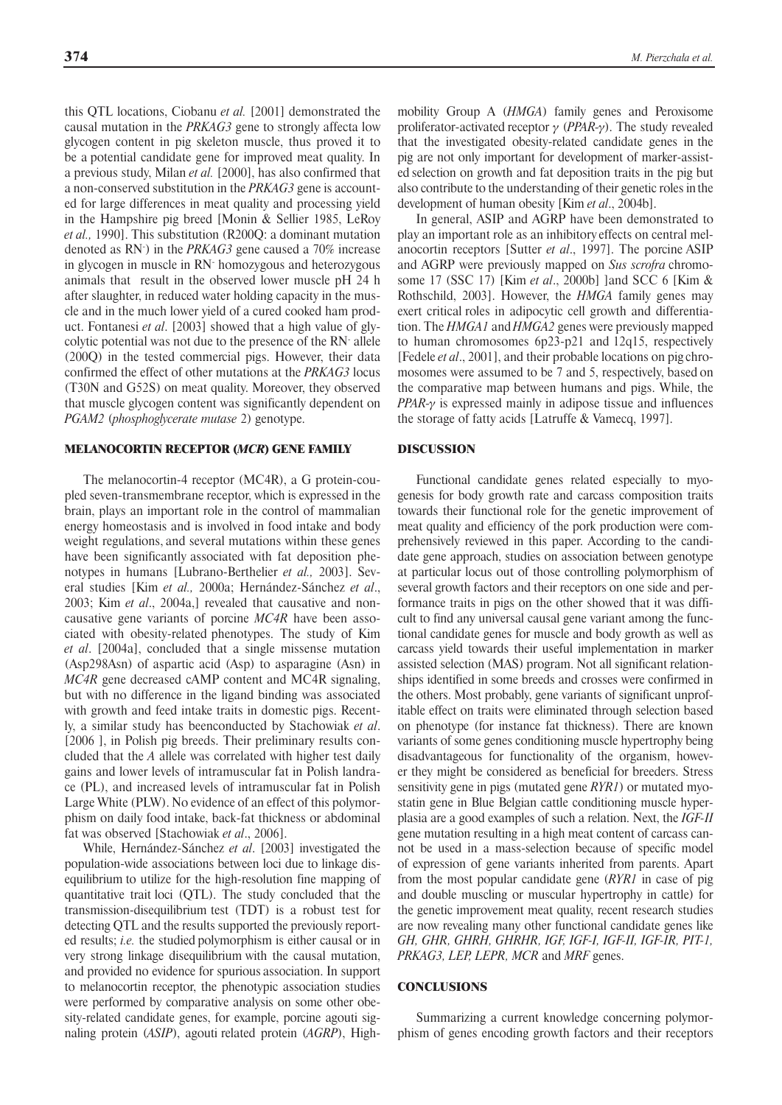this QTL locations, Ciobanu *et al.* [2001] demonstrated the causal mutation in the *PRKAG3* gene to strongly affecta low glycogen content in pig skeleton muscle, thus proved it to be a potential candidate gene for improved meat quality. In a previous study, Milan *et al.* [2000], has also confirmed that a non-conserved substitution in the *PRKAG3* gene is accounted for large differences in meat quality and processing yield in the Hampshire pig breed [Monin & Sellier 1985, LeRoy *et al.,* 1990]. This substitution (R200Q: a dominant mutation denoted as RN- ) in the *PRKAG3* gene caused a 70% increase in glycogen in muscle in RN- homozygous and heterozygous animals that result in the observed lower muscle pH 24 h after slaughter, in reduced water holding capacity in the muscle and in the much lower yield of a cured cooked ham product. Fontanesi *et al*. [2003] showed that a high value of glycolytic potential was not due to the presence of the RN- allele (200Q) in the tested commercial pigs. However, their data confirmed the effect of other mutations at the *PRKAG3* locus (T30N and G52S) on meat quality. Moreover, they observed that muscle glycogen content was significantly dependent on *PGAM2* (*phosphoglycerate mutase* 2) genotype.

#### MELANOCORTIN RECEPTOR (*MCR*) GENE FAMILY

The melanocortin-4 receptor (MC4R), a G protein-coupled seven-transmembrane receptor, which is expressed in the brain, plays an important role in the control of mammalian energy homeostasis and is involved in food intake and body weight regulations, and several mutations within these genes have been significantly associated with fat deposition phenotypes in humans [Lubrano-Berthelier *et al.,* 2003]. Several studies [Kim *et al.,* 2000a; Hernández-Sánchez *et al*., 2003; Kim *et al*., 2004a,] revealed that causative and noncausative gene variants of porcine *MC4R* have been associated with obesity-related phenotypes. The study of Kim *et al*. [2004a], concluded that a single missense mutation (Asp298Asn) of aspartic acid (Asp) to asparagine (Asn) in *MC4R* gene decreased cAMP content and MC4R signaling, but with no difference in the ligand binding was associated with growth and feed intake traits in domestic pigs. Recently, a similar study has beenconducted by Stachowiak *et al*. [2006 ], in Polish pig breeds. Their preliminary results concluded that the *A* allele was correlated with higher test daily gains and lower levels of intramuscular fat in Polish landrace (PL), and increased levels of intramuscular fat in Polish Large White (PLW). No evidence of an effect of this polymorphism on daily food intake, back-fat thickness or abdominal fat was observed [Stachowiak *et al*., 2006].

While, Hernández-Sánchez *et al*. [2003] investigated the population-wide associations between loci due to linkage disequilibrium to utilize for the high-resolution fine mapping of quantitative trait loci (QTL). The study concluded that the transmission-disequilibrium test (TDT) is a robust test for detecting QTL and the results supported the previously reported results; *i.e.* the studied polymorphism is either causal or in very strong linkage disequilibrium with the causal mutation, and provided no evidence for spurious association. In support to melanocortin receptor, the phenotypic association studies were performed by comparative analysis on some other obesity-related candidate genes, for example, porcine agouti signaling protein (*ASIP*), agouti related protein (*AGRP*), Highmobility Group A (*HMGA*) family genes and Peroxisome proliferator-activated receptor  $\gamma$  (*PPAR-* $\gamma$ ). The study revealed that the investigated obesity-related candidate genes in the pig are not only important for development of marker-assisted selection on growth and fat deposition traits in the pig but also contribute to the understanding of their genetic roles inthe development of human obesity [Kim *et al*., 2004b].

In general, ASIP and AGRP have been demonstrated to play an important role as an inhibitory effects on central melanocortin receptors [Sutter *et al*., 1997]. The porcine ASIP and AGRP were previously mapped on *Sus scrofra* chromosome 17 (SSC 17) [Kim *et al*., 2000b] ]and SCC 6 [Kim & Rothschild, 2003]. However, the *HMGA* family genes may exert critical roles in adipocytic cell growth and differentiation. The *HMGA1* and*HMGA2* genes were previously mapped to human chromosomes 6p23-p21 and 12q15, respectively [Fedele *et al*., 2001], and their probable locations on pig chromosomes were assumed to be 7 and 5, respectively, based on the comparative map between humans and pigs. While, the *PPAR-* $\gamma$  is expressed mainly in adipose tissue and influences the storage of fatty acids [Latruffe & Vamecq, 1997].

#### DISCUSSION

Functional candidate genes related especially to myogenesis for body growth rate and carcass composition traits towards their functional role for the genetic improvement of meat quality and efficiency of the pork production were comprehensively reviewed in this paper. According to the candidate gene approach, studies on association between genotype at particular locus out of those controlling polymorphism of several growth factors and their receptors on one side and performance traits in pigs on the other showed that it was difficult to find any universal causal gene variant among the functional candidate genes for muscle and body growth as well as carcass yield towards their useful implementation in marker assisted selection (MAS) program. Not all significant relationships identified in some breeds and crosses were confirmed in the others. Most probably, gene variants of significant unprofitable effect on traits were eliminated through selection based on phenotype (for instance fat thickness). There are known variants of some genes conditioning muscle hypertrophy being disadvantageous for functionality of the organism, however they might be considered as beneficial for breeders. Stress sensitivity gene in pigs (mutated gene *RYR1*) or mutated myostatin gene in Blue Belgian cattle conditioning muscle hyperplasia are a good examples of such a relation. Next, the *IGF-II* gene mutation resulting in a high meat content of carcass cannot be used in a mass-selection because of specific model of expression of gene variants inherited from parents. Apart from the most popular candidate gene (*RYR1* in case of pig and double muscling or muscular hypertrophy in cattle) for the genetic improvement meat quality, recent research studies are now revealing many other functional candidate genes like *GH, GHR, GHRH, GHRHR, IGF, IGF-I, IGF-II, IGF-IR, PIT-1, PRKAG3, LEP, LEPR, MCR* and *MRF* genes.

### **CONCLUSIONS**

Summarizing a current knowledge concerning polymorphism of genes encoding growth factors and their receptors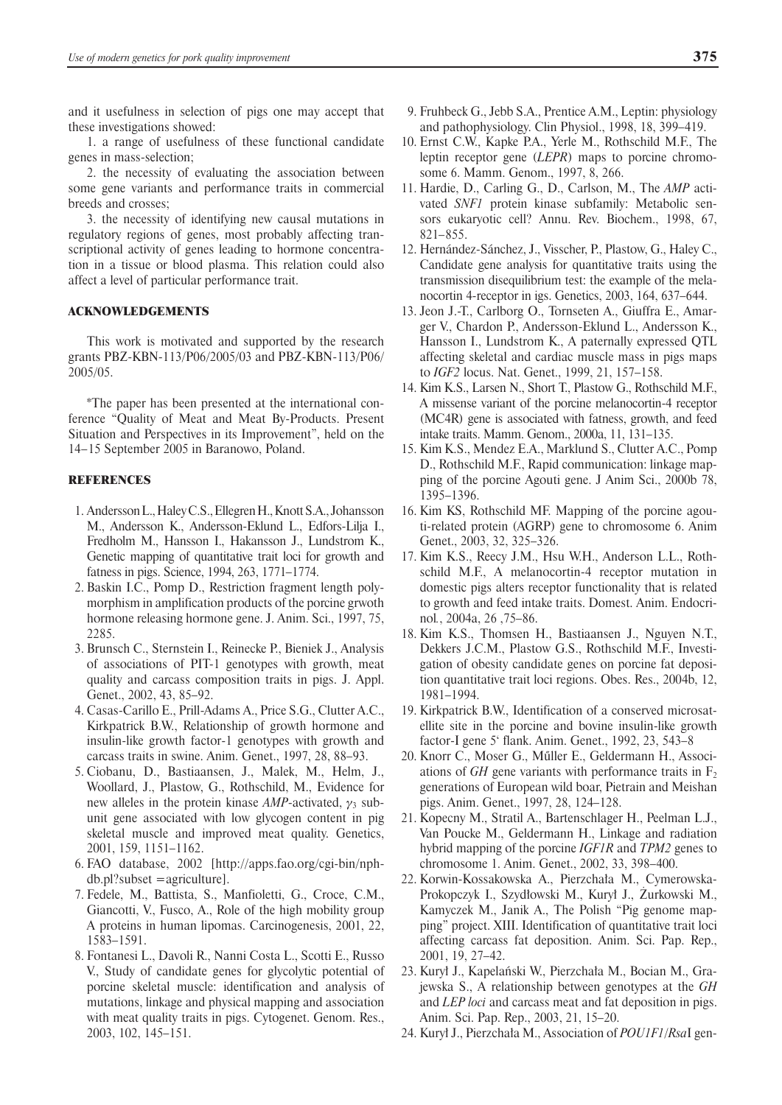and it usefulness in selection of pigs one may accept that these investigations showed:

1. a range of usefulness of these functional candidate genes in mass-selection;

2. the necessity of evaluating the association between some gene variants and performance traits in commercial breeds and crosses;

3. the necessity of identifying new causal mutations in regulatory regions of genes, most probably affecting transcriptional activity of genes leading to hormone concentration in a tissue or blood plasma. This relation could also affect a level of particular performance trait.

#### ACKNOWLEDGEMENTS

This work is motivated and supported by the research grants PBZ-KBN-113/P06/2005/03 and PBZ-KBN-113/P06/ 2005/05.

\*The paper has been presented at the international conference "Quality of Meat and Meat By-Products. Present Situation and Perspectives in its Improvement", held on the 14 – 15 September 2005 in Baranowo, Poland.

### **REFERENCES**

- 1. Andersson L., Haley C.S., Ellegren H., Knott S.A., Johansson M., Andersson K., Andersson-Eklund L., Edfors-Lilja I., Fredholm M., Hansson I., Hakansson J., Lundstrom K., Genetic mapping of quantitative trait loci for growth and fatness in pigs. Science, 1994, 263, 1771–1774.
- 2. Baskin I.C., Pomp D., Restriction fragment length polymorphism in amplification products of the porcine grwoth hormone releasing hormone gene. J. Anim. Sci., 1997, 75, 2285.
- 3. Brunsch C., Sternstein I., Reinecke P., Bieniek J., Analysis of associations of PIT-1 genotypes with growth, meat quality and carcass composition traits in pigs. J. Appl. Genet., 2002, 43, 85–92.
- 4. Casas-Carillo E., Prill-Adams A., Price S.G., Clutter A.C., Kirkpatrick B.W., Relationship of growth hormone and insulin-like growth factor-1 genotypes with growth and carcass traits in swine. Anim. Genet., 1997, 28, 88–93.
- 5. Ciobanu, D., Bastiaansen, J., Malek, M., Helm, J., Woollard, J., Plastow, G., Rothschild, M., Evidence for new alleles in the protein kinase  $AMP$ -activated,  $\gamma_3$  subunit gene associated with low glycogen content in pig skeletal muscle and improved meat quality. Genetics, 2001, 159, 1151–1162.
- 6. FAO database, 2002 [http://apps.fao.org/cgi-bin/nphdb.pl?subset =agriculture].
- 7. Fedele, M., Battista, S., Manfioletti, G., Croce, C.M., Giancotti, V., Fusco, A., Role of the high mobility group A proteins in human lipomas. Carcinogenesis, 2001, 22, 1583–1591.
- 8. Fontanesi L., Davoli R., Nanni Costa L., Scotti E., Russo V., Study of candidate genes for glycolytic potential of porcine skeletal muscle: identification and analysis of mutations, linkage and physical mapping and association with meat quality traits in pigs. Cytogenet. Genom. Res., 2003, 102, 145–151.
- 9. Fruhbeck G., Jebb S.A., Prentice A.M., Leptin: physiology and pathophysiology. Clin Physiol., 1998, 18, 399–419.
- 10. Ernst C.W., Kapke P.A., Yerle M., Rothschild M.F., The leptin receptor gene (*LEPR*) maps to porcine chromosome 6. Mamm. Genom., 1997, 8, 266.
- 11. Hardie, D., Carling G., D., Carlson, M., The *AMP* activated *SNF1* protein kinase subfamily: Metabolic sensors eukaryotic cell? Annu. Rev. Biochem., 1998, 67,  $821 - 855.$
- 12. Hernández-Sánchez, J., Visscher, P., Plastow, G., Haley C., Candidate gene analysis for quantitative traits using the transmission disequilibrium test: the example of the melanocortin 4-receptor in igs. Genetics, 2003, 164, 637–644.
- 13. Jeon J.-T., Carlborg O., Tornseten A., Giuffra E., Amarger V., Chardon P., Andersson-Eklund L., Andersson K., Hansson I., Lundstrom K., A paternally expressed QTL affecting skeletal and cardiac muscle mass in pigs maps to *IGF2* locus. Nat. Genet., 1999, 21, 157–158.
- 14. Kim K.S., Larsen N., Short T., Plastow G., Rothschild M.F., A missense variant of the porcine melanocortin-4 receptor (MC4R) gene is associated with fatness, growth, and feed intake traits. Mamm. Genom., 2000a, 11, 131–135.
- 15. Kim K.S., Mendez E.A., Marklund S., Clutter A.C., Pomp D., Rothschild M.F., Rapid communication: linkage mapping of the porcine Agouti gene. J Anim Sci., 2000b 78, 1395–1396.
- 16. Kim KS, Rothschild MF. Mapping of the porcine agouti-related protein (AGRP) gene to chromosome 6. Anim Genet., 2003, 32, 325–326.
- 17. Kim K.S., Reecy J.M., Hsu W.H., Anderson L.L., Rothschild M.F., A melanocortin-4 receptor mutation in domestic pigs alters receptor functionality that is related to growth and feed intake traits. Domest. Anim. Endocrinol*.*, 2004a, 26 ,75–86.
- 18. Kim K.S., Thomsen H., Bastiaansen J., Nguyen N.T., Dekkers J.C.M., Plastow G.S., Rothschild M.F., Investigation of obesity candidate genes on porcine fat deposition quantitative trait loci regions. Obes. Res., 2004b, 12, 1981–1994.
- 19. Kirkpatrick B.W., Identification of a conserved microsatellite site in the porcine and bovine insulin-like growth factor-I gene 5' flank. Anim. Genet., 1992, 23, 543–8
- 20. Knorr C., Moser G., Műller E., Geldermann H., Associations of *GH* gene variants with performance traits in  $F_2$ generations of European wild boar, Pietrain and Meishan pigs. Anim. Genet., 1997, 28, 124–128.
- 21. Kopecny M., Stratil A., Bartenschlager H., Peelman L.J., Van Poucke M., Geldermann H., Linkage and radiation hybrid mapping of the porcine *IGF1R* and *TPM2* genes to chromosome 1. Anim. Genet., 2002, 33, 398–400.
- 22. Korwin-Kossakowska A., Pierzchała M., Cymerowska-Prokopczyk I., Szydłowski M., Kurył J., Żurkowski M., Kamyczek M., Janik A., The Polish "Pig genome mapping" project. XIII. Identification of quantitative trait loci affecting carcass fat deposition. Anim. Sci. Pap. Rep., 2001, 19, 27–42.
- 23. Kurył J., Kapelański W., Pierzchała M., Bocian M., Grajewska S., A relationship between genotypes at the *GH* and *LEP loci* and carcass meat and fat deposition in pigs. Anim. Sci. Pap. Rep., 2003, 21, 15–20.
- 24. Kurył J., Pierzchała M., Association of *POU1F1*/*Rsa*I gen-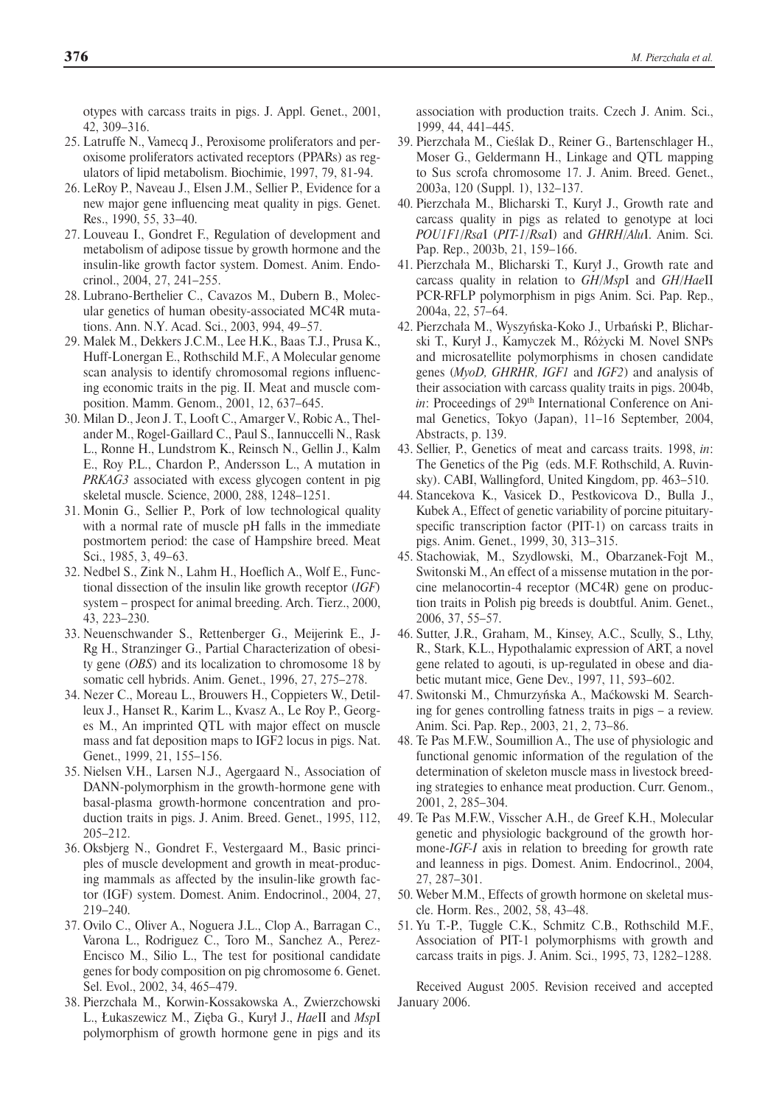otypes with carcass traits in pigs. J. Appl. Genet., 2001, 42, 309–316.

- 25. Latruffe N., Vamecq J., Peroxisome proliferators and peroxisome proliferators activated receptors (PPARs) as regulators of lipid metabolism. Biochimie, 1997, 79, 81-94.
- 26. LeRoy P., Naveau J., Elsen J.M., Sellier P., Evidence for a new major gene influencing meat quality in pigs. Genet. Res., 1990, 55, 33–40.
- 27. Louveau I., Gondret F., Regulation of development and metabolism of adipose tissue by growth hormone and the insulin-like growth factor system. Domest. Anim. Endocrinol., 2004, 27, 241–255.
- 28. Lubrano-Berthelier C., Cavazos M., Dubern B., Molecular genetics of human obesity-associated MC4R mutations. Ann. N.Y. Acad. Sci., 2003, 994, 49–57.
- 29. Malek M., Dekkers J.C.M., Lee H.K., Baas T.J., Prusa K., Huff-Lonergan E., Rothschild M.F., A Molecular genome scan analysis to identify chromosomal regions influencing economic traits in the pig. II. Meat and muscle composition. Mamm. Genom., 2001, 12, 637–645.
- 30. Milan D., Jeon J. T., Looft C., Amarger V., Robic A., Thelander M., Rogel-Gaillard C., Paul S., Iannuccelli N., Rask L., Ronne H., Lundstrom K., Reinsch N., Gellin J., Kalm E., Roy P.L., Chardon P., Andersson L., A mutation in *PRKAG3* associated with excess glycogen content in pig skeletal muscle. Science, 2000, 288, 1248–1251.
- 31. Monin G., Sellier P., Pork of low technological quality with a normal rate of muscle pH falls in the immediate postmortem period: the case of Hampshire breed. Meat Sci., 1985, 3, 49–63.
- 32. Nedbel S., Zink N., Lahm H., Hoeflich A., Wolf E., Functional dissection of the insulin like growth receptor (*IGF*) system – prospect for animal breeding. Arch. Tierz., 2000, 43, 223–230.
- 33. Neuenschwander S., Rettenberger G., Meijerink E., J-Rg H., Stranzinger G., Partial Characterization of obesity gene (*OBS*) and its localization to chromosome 18 by somatic cell hybrids. Anim. Genet., 1996, 27, 275–278.
- 34. Nezer C., Moreau L., Brouwers H., Coppieters W., Detilleux J., Hanset R., Karim L., Kvasz A., Le Roy P., Georges M., An imprinted QTL with major effect on muscle mass and fat deposition maps to IGF2 locus in pigs. Nat. Genet., 1999, 21, 155–156.
- 35. Nielsen V.H., Larsen N.J., Agergaard N., Association of DANN-polymorphism in the growth-hormone gene with basal-plasma growth-hormone concentration and production traits in pigs. J. Anim. Breed. Genet., 1995, 112, 205–212.
- 36. Oksbjerg N., Gondret F., Vestergaard M., Basic principles of muscle development and growth in meat-producing mammals as affected by the insulin-like growth factor (IGF) system. Domest. Anim. Endocrinol., 2004, 27, 219–240.
- 37. Ovilo C., Oliver A., Noguera J.L., Clop A., Barragan C., Varona L., Rodriguez C., Toro M., Sanchez A., Perez-Encisco M., Silio L., The test for positional candidate genes for body composition on pig chromosome 6. Genet. Sel. Evol., 2002, 34, 465–479.
- 38. Pierzchała M., Korwin-Kossakowska A., Zwierzchowski L., Łukaszewicz M., Zięba G., Kurył J., *Hae*II and *Msp*I polymorphism of growth hormone gene in pigs and its

association with production traits. Czech J. Anim. Sci., 1999, 44, 441–445.

- 39. Pierzchała M., Cieślak D., Reiner G., Bartenschlager H., Moser G., Geldermann H., Linkage and QTL mapping to Sus scrofa chromosome 17. J. Anim. Breed. Genet., 2003a, 120 (Suppl. 1), 132–137.
- 40. Pierzchała M., Blicharski T., Kurył J., Growth rate and carcass quality in pigs as related to genotype at loci *POU1F1*/*Rsa*I (*PIT-1*/*Rsa*I) and *GHRH*/*Alu*I. Anim. Sci. Pap. Rep., 2003b, 21, 159–166.
- 41. Pierzchała M., Blicharski T., Kurył J., Growth rate and carcass quality in relation to *GH*/*Msp*I and *GH*/*Hae*II PCR-RFLP polymorphism in pigs Anim. Sci. Pap. Rep., 2004a, 22, 57–64.
- 42. Pierzchała M., Wyszyńska-Koko J., Urbański P., Blicharski T., Kurył J., Kamyczek M., Różycki M. Novel SNPs and microsatellite polymorphisms in chosen candidate genes (*MyoD, GHRHR, IGF1* and *IGF2*) and analysis of their association with carcass quality traits in pigs. 2004b, *in*: Proceedings of 29<sup>th</sup> International Conference on Animal Genetics, Tokyo (Japan), 11–16 September, 2004, Abstracts, p. 139.
- 43. Sellier, P., Genetics of meat and carcass traits. 1998, *in*: The Genetics of the Pig (eds. M.F. Rothschild, A. Ruvinsky). CABI, Wallingford, United Kingdom, pp. 463–510.
- 44. Stancekova K., Vasicek D., Pestkovicova D., Bulla J., Kubek A., Effect of genetic variability of porcine pituitaryspecific transcription factor (PIT-1) on carcass traits in pigs. Anim. Genet., 1999, 30, 313–315.
- 45. Stachowiak, M., Szydlowski, M., Obarzanek-Fojt M., Switonski M., An effect of a missense mutation in the porcine melanocortin-4 receptor (MC4R) gene on production traits in Polish pig breeds is doubtful. Anim. Genet., 2006, 37, 55–57.
- 46. Sutter, J.R., Graham, M., Kinsey, A.C., Scully, S., Lthy, R., Stark, K.L., Hypothalamic expression of ART, a novel gene related to agouti, is up-regulated in obese and diabetic mutant mice, Gene Dev., 1997, 11, 593–602.
- 47. Switonski M., Chmurzyńska A., Maćkowski M. Searching for genes controlling fatness traits in pigs – a review. Anim. Sci. Pap. Rep., 2003, 21, 2, 73–86.
- 48. Te Pas M.F.W., Soumillion A., The use of physiologic and functional genomic information of the regulation of the determination of skeleton muscle mass in livestock breeding strategies to enhance meat production. Curr. Genom., 2001, 2, 285–304.
- 49. Te Pas M.F.W., Visscher A.H., de Greef K.H., Molecular genetic and physiologic background of the growth hormone-*IGF-I* axis in relation to breeding for growth rate and leanness in pigs. Domest. Anim. Endocrinol., 2004, 27, 287–301.
- 50. Weber M.M., Effects of growth hormone on skeletal muscle. Horm. Res., 2002, 58, 43–48.
- 51. Yu T.-P., Tuggle C.K., Schmitz C.B., Rothschild M.F., Association of PIT-1 polymorphisms with growth and carcass traits in pigs. J. Anim. Sci., 1995, 73, 1282–1288.

Received August 2005. Revision received and accepted January 2006.